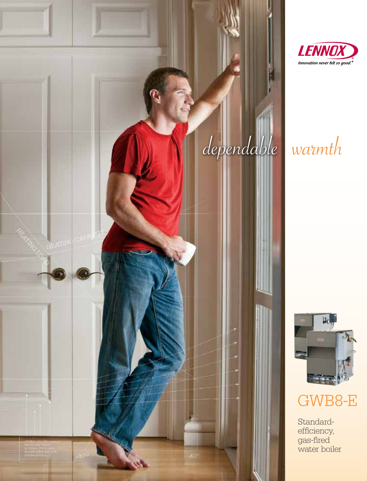





# GWB8-E

Standardefficiency, gas-fired water boiler